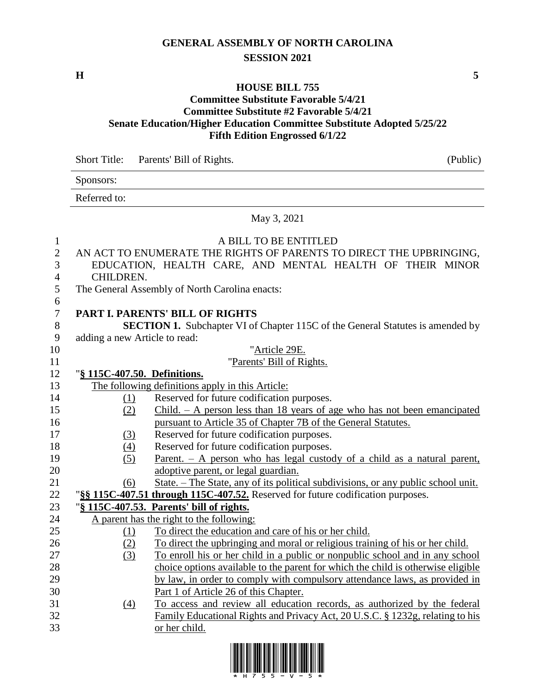## **GENERAL ASSEMBLY OF NORTH CAROLINA SESSION 2021**

**H 5**

## **HOUSE BILL 755**

## **Committee Substitute Favorable 5/4/21 Committee Substitute #2 Favorable 5/4/21 Senate Education/Higher Education Committee Substitute Adopted 5/25/22 Fifth Edition Engrossed 6/1/22**

|                | <b>Short Title:</b>           | Parents' Bill of Rights.                                                              | (Public) |
|----------------|-------------------------------|---------------------------------------------------------------------------------------|----------|
|                | Sponsors:                     |                                                                                       |          |
|                | Referred to:                  |                                                                                       |          |
|                |                               | May 3, 2021                                                                           |          |
| $\mathbf{1}$   |                               | A BILL TO BE ENTITLED                                                                 |          |
| $\overline{c}$ |                               | AN ACT TO ENUMERATE THE RIGHTS OF PARENTS TO DIRECT THE UPBRINGING,                   |          |
| 3              |                               | EDUCATION, HEALTH CARE, AND MENTAL HEALTH OF THEIR MINOR                              |          |
| 4              | CHILDREN.                     |                                                                                       |          |
| 5              |                               | The General Assembly of North Carolina enacts:                                        |          |
| 6              |                               |                                                                                       |          |
| $\overline{7}$ |                               | PART I. PARENTS' BILL OF RIGHTS                                                       |          |
| $8\,$          |                               | <b>SECTION 1.</b> Subchapter VI of Chapter 115C of the General Statutes is amended by |          |
| 9              | adding a new Article to read: |                                                                                       |          |
| 10             |                               | "Article 29E.                                                                         |          |
| 11             |                               | "Parents' Bill of Rights.                                                             |          |
| 12             | "§ 115C-407.50. Definitions.  |                                                                                       |          |
| 13             |                               | The following definitions apply in this Article:                                      |          |
| 14             | (1)                           | Reserved for future codification purposes.                                            |          |
| 15             | (2)                           | $Child. - A person less than 18 years of age who has not been enancipated$            |          |
| 16             |                               | pursuant to Article 35 of Chapter 7B of the General Statutes.                         |          |
| 17             | (3)                           | Reserved for future codification purposes.                                            |          |
| 18             | (4)                           | Reserved for future codification purposes.                                            |          |
| 19             | (5)                           | Parent. $- A$ person who has legal custody of a child as a natural parent,            |          |
| 20             |                               | adoptive parent, or legal guardian.                                                   |          |
| 21             | (6)                           | State. - The State, any of its political subdivisions, or any public school unit.     |          |
| 22             |                               | "§§ 115C-407.51 through 115C-407.52. Reserved for future codification purposes.       |          |
| 23             |                               | "§ 115C-407.53. Parents' bill of rights.                                              |          |
| 24             |                               | A parent has the right to the following:                                              |          |
| 25             | (1)                           | To direct the education and care of his or her child.                                 |          |
| 26             | (2)                           | To direct the upbringing and moral or religious training of his or her child.         |          |
| 27             | (3)                           | To enroll his or her child in a public or nonpublic school and in any school          |          |
| 28             |                               | choice options available to the parent for which the child is otherwise eligible      |          |
| 29             |                               | by law, in order to comply with compulsory attendance laws, as provided in            |          |
| 30             |                               | Part 1 of Article 26 of this Chapter.                                                 |          |
| 31             | $\Delta$                      | To access and review all education records, as authorized by the federal              |          |
| 32             |                               | Family Educational Rights and Privacy Act, 20 U.S.C. § 1232g, relating to his         |          |
| 33             |                               | or her child.                                                                         |          |

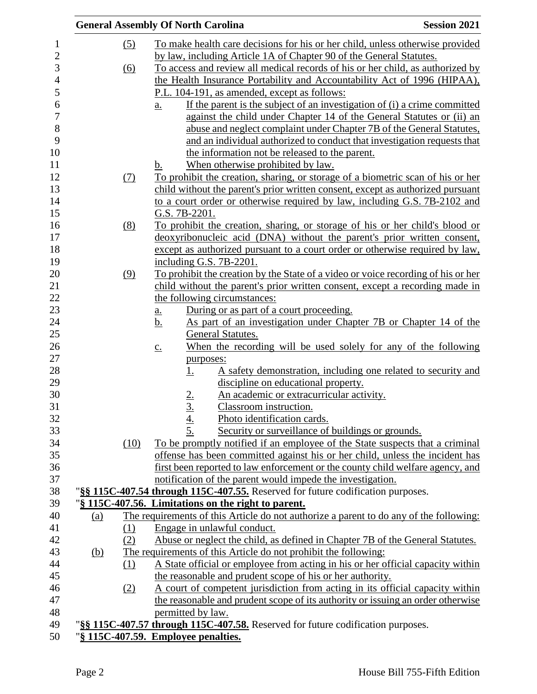|            |      | <b>General Assembly Of North Carolina</b>                                                      | <b>Session 2021</b> |
|------------|------|------------------------------------------------------------------------------------------------|---------------------|
|            | (5)  | To make health care decisions for his or her child, unless otherwise provided                  |                     |
|            |      | by law, including Article 1A of Chapter 90 of the General Statutes.                            |                     |
|            | (6)  | To access and review all medical records of his or her child, as authorized by                 |                     |
|            |      | the Health Insurance Portability and Accountability Act of 1996 (HIPAA),                       |                     |
|            |      | P.L. 104-191, as amended, except as follows:                                                   |                     |
|            |      | If the parent is the subject of an investigation of (i) a crime committed<br>$\underline{a}$ . |                     |
|            |      | against the child under Chapter 14 of the General Statutes or (ii) an                          |                     |
|            |      | abuse and neglect complaint under Chapter 7B of the General Statutes,                          |                     |
|            |      | and an individual authorized to conduct that investigation requests that                       |                     |
|            |      | the information not be released to the parent.                                                 |                     |
|            |      | When otherwise prohibited by law.<br>b.                                                        |                     |
|            | (7)  | To prohibit the creation, sharing, or storage of a biometric scan of his or her                |                     |
|            |      | child without the parent's prior written consent, except as authorized pursuant                |                     |
|            |      | to a court order or otherwise required by law, including G.S. 7B-2102 and                      |                     |
|            |      | G.S. 7B-2201.                                                                                  |                     |
|            | (8)  | To prohibit the creation, sharing, or storage of his or her child's blood or                   |                     |
|            |      | deoxyribonucleic acid (DNA) without the parent's prior written consent,                        |                     |
|            |      | except as authorized pursuant to a court order or otherwise required by law,                   |                     |
|            |      | including G.S. 7B-2201.                                                                        |                     |
|            | (9)  | To prohibit the creation by the State of a video or voice recording of his or her              |                     |
|            |      | child without the parent's prior written consent, except a recording made in                   |                     |
|            |      | the following circumstances:                                                                   |                     |
|            |      | During or as part of a court proceeding.<br>a.                                                 |                     |
|            |      | As part of an investigation under Chapter 7B or Chapter 14 of the<br><u>b.</u>                 |                     |
|            |      | General Statutes.<br>When the recording will be used solely for any of the following           |                     |
|            |      | $\underline{c}$ .<br>purposes:                                                                 |                     |
|            |      | A safety demonstration, including one related to security and<br><u>1.</u>                     |                     |
|            |      | discipline on educational property.                                                            |                     |
|            |      | An academic or extracurricular activity.<br><u>2.</u>                                          |                     |
|            |      | 3.<br>Classroom instruction.                                                                   |                     |
|            |      | Photo identification cards.                                                                    |                     |
|            |      | $\frac{4}{5}$<br>Security or surveillance of buildings or grounds.                             |                     |
|            | (10) | To be promptly notified if an employee of the State suspects that a criminal                   |                     |
|            |      | offense has been committed against his or her child, unless the incident has                   |                     |
|            |      | first been reported to law enforcement or the county child welfare agency, and                 |                     |
|            |      | notification of the parent would impede the investigation.                                     |                     |
|            |      | "§§ 115C-407.54 through 115C-407.55. Reserved for future codification purposes.                |                     |
|            |      | "§ 115C-407.56. Limitations on the right to parent.                                            |                     |
| (a)        |      | The requirements of this Article do not authorize a parent to do any of the following:         |                     |
|            | (1)  | Engage in unlawful conduct.                                                                    |                     |
|            | (2)  | Abuse or neglect the child, as defined in Chapter 7B of the General Statutes.                  |                     |
| <u>(b)</u> |      | The requirements of this Article do not prohibit the following:                                |                     |
|            | (1)  | A State official or employee from acting in his or her official capacity within                |                     |
|            |      | the reasonable and prudent scope of his or her authority.                                      |                     |
|            | (2)  | A court of competent jurisdiction from acting in its official capacity within                  |                     |
|            |      | the reasonable and prudent scope of its authority or issuing an order otherwise                |                     |
|            |      | permitted by law.                                                                              |                     |
|            |      | "§§ 115C-407.57 through 115C-407.58. Reserved for future codification purposes.                |                     |
|            |      | "§ 115C-407.59. Employee penalties.                                                            |                     |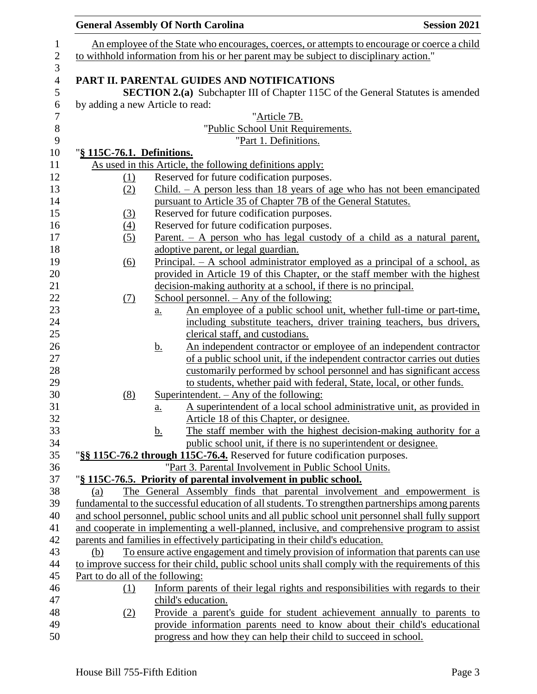|                            | <b>General Assembly Of North Carolina</b>                                                                     | <b>Session 2021</b> |
|----------------------------|---------------------------------------------------------------------------------------------------------------|---------------------|
|                            | An employee of the State who encourages, coerces, or attempts to encourage or coerce a child                  |                     |
|                            | to withhold information from his or her parent may be subject to disciplinary action."                        |                     |
|                            |                                                                                                               |                     |
|                            | PART II. PARENTAL GUIDES AND NOTIFICATIONS                                                                    |                     |
|                            | <b>SECTION 2.(a)</b> Subchapter III of Chapter 115C of the General Statutes is amended                        |                     |
|                            | by adding a new Article to read:                                                                              |                     |
|                            | "Article 7B.                                                                                                  |                     |
|                            | "Public School Unit Requirements.                                                                             |                     |
|                            | "Part 1. Definitions.                                                                                         |                     |
| "§ 115C-76.1. Definitions. | As used in this Article, the following definitions apply:                                                     |                     |
| (1)                        | Reserved for future codification purposes.                                                                    |                     |
| (2)                        | $Child. - A person less than 18 years of age who has not been enancipated$                                    |                     |
|                            | pursuant to Article 35 of Chapter 7B of the General Statutes.                                                 |                     |
| (3)                        | Reserved for future codification purposes.                                                                    |                     |
| $\left(4\right)$           | Reserved for future codification purposes.                                                                    |                     |
| (5)                        | Parent. $-$ A person who has legal custody of a child as a natural parent,                                    |                     |
|                            | adoptive parent, or legal guardian.                                                                           |                     |
| $\overline{(6)}$           | Principal. $- A$ school administrator employed as a principal of a school, as                                 |                     |
|                            | provided in Article 19 of this Chapter, or the staff member with the highest                                  |                     |
|                            | decision-making authority at a school, if there is no principal.                                              |                     |
| (7)                        | School personnel. $-$ Any of the following:                                                                   |                     |
|                            | An employee of a public school unit, whether full-time or part-time,<br>$\underline{a}$ .                     |                     |
|                            | including substitute teachers, driver training teachers, bus drivers,                                         |                     |
|                            | clerical staff, and custodians.                                                                               |                     |
|                            | An independent contractor or employee of an independent contractor<br><u>b.</u>                               |                     |
|                            | of a public school unit, if the independent contractor carries out duties                                     |                     |
|                            | customarily performed by school personnel and has significant access                                          |                     |
|                            | to students, whether paid with federal, State, local, or other funds.                                         |                     |
| (8)                        | <u>Superintendent. <math>-</math> Any of the following:</u>                                                   |                     |
|                            | A superintendent of a local school administrative unit, as provided in<br><u>a.</u>                           |                     |
|                            | Article 18 of this Chapter, or designee.<br>The staff member with the highest decision-making authority for a |                     |
|                            | <u>b.</u><br>public school unit, if there is no superintendent or designee.                                   |                     |
|                            | "§§ 115C-76.2 through 115C-76.4. Reserved for future codification purposes.                                   |                     |
|                            | "Part 3. Parental Involvement in Public School Units.                                                         |                     |
|                            | "§ 115C-76.5. Priority of parental involvement in public school.                                              |                     |
| (a)                        | The General Assembly finds that parental involvement and empowerment is                                       |                     |
|                            | fundamental to the successful education of all students. To strengthen partnerships among parents             |                     |
|                            | and school personnel, public school units and all public school unit personnel shall fully support            |                     |
|                            | and cooperate in implementing a well-planned, inclusive, and comprehensive program to assist                  |                     |
|                            | parents and families in effectively participating in their child's education.                                 |                     |
| (b)                        | To ensure active engagement and timely provision of information that parents can use                          |                     |
|                            | to improve success for their child, public school units shall comply with the requirements of this            |                     |
|                            | Part to do all of the following:                                                                              |                     |
| (1)                        | Inform parents of their legal rights and responsibilities with regards to their                               |                     |
|                            | child's education.                                                                                            |                     |
| (2)                        | Provide a parent's guide for student achievement annually to parents to                                       |                     |
|                            | provide information parents need to know about their child's educational                                      |                     |
|                            | progress and how they can help their child to succeed in school.                                              |                     |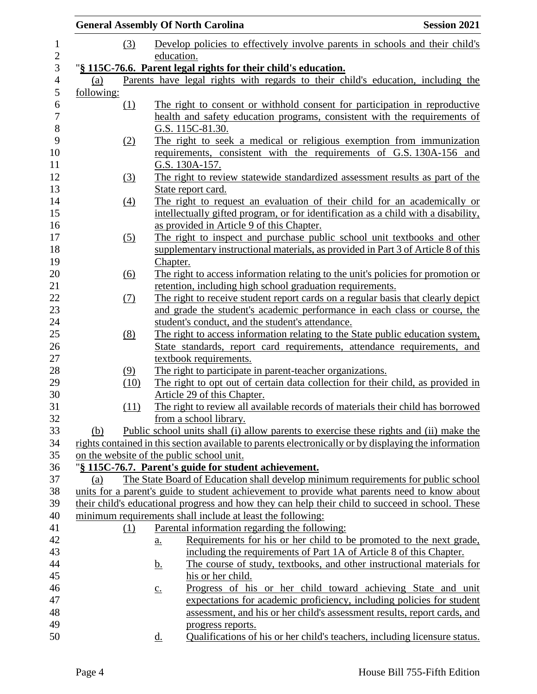|            |                   |                            | <b>General Assembly Of North Carolina</b>                                                                                                                                         | <b>Session 2021</b>                                                        |
|------------|-------------------|----------------------------|-----------------------------------------------------------------------------------------------------------------------------------------------------------------------------------|----------------------------------------------------------------------------|
|            | (3)               |                            | Develop policies to effectively involve parents in schools and their child's                                                                                                      |                                                                            |
|            |                   | education.                 |                                                                                                                                                                                   |                                                                            |
|            |                   |                            | "§ 115C-76.6. Parent legal rights for their child's education.                                                                                                                    |                                                                            |
| (a)        |                   |                            | Parents have legal rights with regards to their child's education, including the                                                                                                  |                                                                            |
| following: |                   |                            |                                                                                                                                                                                   |                                                                            |
|            | (1)               |                            | The right to consent or withhold consent for participation in reproductive                                                                                                        |                                                                            |
|            |                   |                            | health and safety education programs, consistent with the requirements of                                                                                                         |                                                                            |
|            |                   |                            | G.S. 115C-81.30.                                                                                                                                                                  |                                                                            |
|            | (2)               |                            | The right to seek a medical or religious exemption from immunization                                                                                                              |                                                                            |
|            |                   |                            | requirements, consistent with the requirements of G.S. 130A-156 and                                                                                                               |                                                                            |
|            |                   |                            | G.S. 130A-157.                                                                                                                                                                    |                                                                            |
|            | $\left(3\right)$  |                            | The right to review statewide standardized assessment results as part of the                                                                                                      |                                                                            |
|            |                   |                            | State report card.                                                                                                                                                                |                                                                            |
|            | $\underline{(4)}$ |                            | The right to request an evaluation of their child for an academically or                                                                                                          |                                                                            |
|            |                   |                            | intellectually gifted program, or for identification as a child with a disability,                                                                                                |                                                                            |
|            |                   |                            | as provided in Article 9 of this Chapter.<br>The right to inspect and purchase public school unit textbooks and other                                                             |                                                                            |
|            | (5)               |                            | supplementary instructional materials, as provided in Part 3 of Article 8 of this                                                                                                 |                                                                            |
|            |                   | Chapter.                   |                                                                                                                                                                                   |                                                                            |
|            | (6)               |                            | The right to access information relating to the unit's policies for promotion or                                                                                                  |                                                                            |
|            |                   |                            | retention, including high school graduation requirements.                                                                                                                         |                                                                            |
|            | <u>(7)</u>        |                            | The right to receive student report cards on a regular basis that clearly depict                                                                                                  |                                                                            |
|            |                   |                            | and grade the student's academic performance in each class or course, the                                                                                                         |                                                                            |
|            |                   |                            | student's conduct, and the student's attendance.                                                                                                                                  |                                                                            |
|            | (8)               |                            | The right to access information relating to the State public education system,                                                                                                    |                                                                            |
|            |                   |                            | State standards, report card requirements, attendance requirements, and                                                                                                           |                                                                            |
|            |                   |                            | textbook requirements.                                                                                                                                                            |                                                                            |
|            | (9)               |                            | The right to participate in parent-teacher organizations.                                                                                                                         |                                                                            |
|            | (10)              |                            | The right to opt out of certain data collection for their child, as provided in                                                                                                   |                                                                            |
|            |                   |                            | Article 29 of this Chapter.                                                                                                                                                       |                                                                            |
|            | (11)              |                            | The right to review all available records of materials their child has borrowed                                                                                                   |                                                                            |
|            |                   |                            | from a school library.                                                                                                                                                            |                                                                            |
| (b)        |                   |                            | Public school units shall (i) allow parents to exercise these rights and (ii) make the                                                                                            |                                                                            |
|            |                   |                            | rights contained in this section available to parents electronically or by displaying the information                                                                             |                                                                            |
|            |                   |                            | on the website of the public school unit.                                                                                                                                         |                                                                            |
|            |                   |                            | "§ 115C-76.7. Parent's guide for student achievement.                                                                                                                             |                                                                            |
| (a)        |                   |                            | The State Board of Education shall develop minimum requirements for public school<br>units for a parent's guide to student achievement to provide what parents need to know about |                                                                            |
|            |                   |                            | their child's educational progress and how they can help their child to succeed in school. These                                                                                  |                                                                            |
|            |                   |                            | minimum requirements shall include at least the following:                                                                                                                        |                                                                            |
|            | (1)               |                            | Parental information regarding the following:                                                                                                                                     |                                                                            |
|            |                   | $\underline{\mathbf{a}}$ . |                                                                                                                                                                                   | Requirements for his or her child to be promoted to the next grade,        |
|            |                   |                            | including the requirements of Part 1A of Article 8 of this Chapter.                                                                                                               |                                                                            |
|            |                   | <u>b.</u>                  |                                                                                                                                                                                   | The course of study, textbooks, and other instructional materials for      |
|            |                   |                            | his or her child.                                                                                                                                                                 |                                                                            |
|            |                   | $\underline{c}$ .          |                                                                                                                                                                                   | Progress of his or her child toward achieving State and unit               |
|            |                   |                            |                                                                                                                                                                                   | expectations for academic proficiency, including policies for student      |
|            |                   |                            |                                                                                                                                                                                   | assessment, and his or her child's assessment results, report cards, and   |
|            |                   |                            | progress reports.                                                                                                                                                                 |                                                                            |
|            |                   | <u>d.</u>                  |                                                                                                                                                                                   | Qualifications of his or her child's teachers, including licensure status. |
|            |                   |                            |                                                                                                                                                                                   |                                                                            |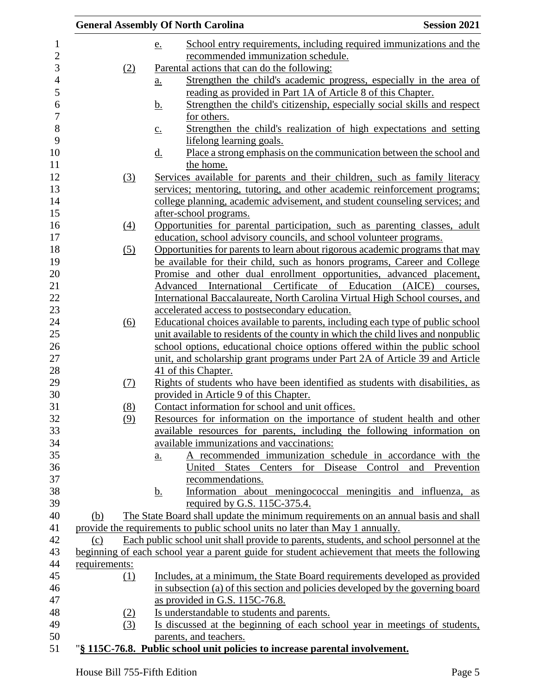|                  | <b>Session 2021</b><br><b>General Assembly Of North Carolina</b>                              |
|------------------|-----------------------------------------------------------------------------------------------|
|                  | School entry requirements, including required immunizations and the<br>e.                     |
|                  | recommended immunization schedule.                                                            |
| (2)              | Parental actions that can do the following:                                                   |
|                  | Strengthen the child's academic progress, especially in the area of<br><u>a.</u>              |
|                  | reading as provided in Part 1A of Article 8 of this Chapter.                                  |
|                  | Strengthen the child's citizenship, especially social skills and respect<br><u>b.</u>         |
|                  | for others.                                                                                   |
|                  | Strengthen the child's realization of high expectations and setting<br>$\underline{C}$ .      |
|                  | lifelong learning goals.                                                                      |
|                  | Place a strong emphasis on the communication between the school and<br><u>d.</u>              |
|                  | the home.                                                                                     |
| (3)              | Services available for parents and their children, such as family literacy                    |
|                  | services; mentoring, tutoring, and other academic reinforcement programs;                     |
|                  | college planning, academic advisement, and student counseling services; and                   |
|                  | after-school programs.                                                                        |
| $\left(4\right)$ | Opportunities for parental participation, such as parenting classes, adult                    |
|                  | education, school advisory councils, and school volunteer programs.                           |
| (5)              | Opportunities for parents to learn about rigorous academic programs that may                  |
|                  | be available for their child, such as honors programs, Career and College                     |
|                  | Promise and other dual enrollment opportunities, advanced placement,                          |
|                  | Advanced International Certificate of Education (AICE)<br>courses,                            |
|                  | International Baccalaureate, North Carolina Virtual High School courses, and                  |
|                  | accelerated access to postsecondary education.                                                |
| (6)              | Educational choices available to parents, including each type of public school                |
|                  | unit available to residents of the county in which the child lives and nonpublic              |
|                  | school options, educational choice options offered within the public school                   |
|                  | unit, and scholarship grant programs under Part 2A of Article 39 and Article                  |
|                  | 41 of this Chapter.                                                                           |
| (7)              | Rights of students who have been identified as students with disabilities, as                 |
|                  | provided in Article 9 of this Chapter.                                                        |
| (8)              | Contact information for school and unit offices.                                              |
| (9)              | Resources for information on the importance of student health and other                       |
|                  | available resources for parents, including the following information on                       |
|                  | available immunizations and vaccinations:                                                     |
|                  | A recommended immunization schedule in accordance with the<br>$\underline{a}$ .<br>Prevention |
|                  | United States Centers for Disease Control<br>and<br>recommendations.                          |
|                  | Information about meningococcal meningitis and influenza, as                                  |
|                  | <u>b.</u><br>required by G.S. 115C-375.4.                                                     |
| (b)              | The State Board shall update the minimum requirements on an annual basis and shall            |
|                  | provide the requirements to public school units no later than May 1 annually.                 |
| (c)              | Each public school unit shall provide to parents, students, and school personnel at the       |
|                  | beginning of each school year a parent guide for student achievement that meets the following |
| requirements:    |                                                                                               |
| (1)              | Includes, at a minimum, the State Board requirements developed as provided                    |
|                  | in subsection (a) of this section and policies developed by the governing board               |
|                  | as provided in G.S. $115C-76.8$ .                                                             |
| <u>(2)</u>       | Is understandable to students and parents.                                                    |
| (3)              | Is discussed at the beginning of each school year in meetings of students,                    |
|                  | parents, and teachers.                                                                        |
|                  | "§ 115C-76.8. Public school unit policies to increase parental involvement.                   |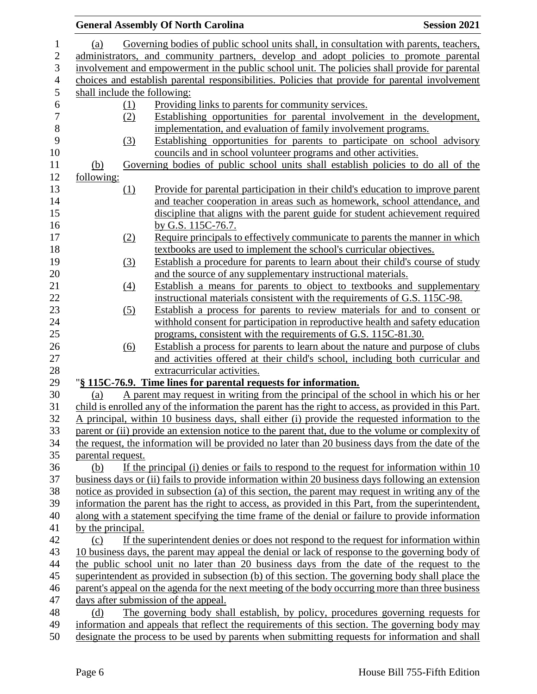|                   |                  | <b>General Assembly Of North Carolina</b>                                                                    | <b>Session 2021</b> |
|-------------------|------------------|--------------------------------------------------------------------------------------------------------------|---------------------|
| (a)               |                  | Governing bodies of public school units shall, in consultation with parents, teachers,                       |                     |
|                   |                  | administrators, and community partners, develop and adopt policies to promote parental                       |                     |
|                   |                  | involvement and empowerment in the public school unit. The policies shall provide for parental               |                     |
|                   |                  | choices and establish parental responsibilities. Policies that provide for parental involvement              |                     |
|                   |                  | shall include the following:                                                                                 |                     |
|                   | (1)              | Providing links to parents for community services.                                                           |                     |
|                   | (2)              | Establishing opportunities for parental involvement in the development,                                      |                     |
|                   |                  | implementation, and evaluation of family involvement programs.                                               |                     |
|                   | (3)              | Establishing opportunities for parents to participate on school advisory                                     |                     |
|                   |                  | councils and in school volunteer programs and other activities.                                              |                     |
| <u>(b)</u>        |                  | Governing bodies of public school units shall establish policies to do all of the                            |                     |
| following:        |                  |                                                                                                              |                     |
|                   | $\Omega$         | Provide for parental participation in their child's education to improve parent                              |                     |
|                   |                  | and teacher cooperation in areas such as homework, school attendance, and                                    |                     |
|                   |                  | discipline that aligns with the parent guide for student achievement required                                |                     |
|                   |                  | by G.S. 115C-76.7.                                                                                           |                     |
|                   | (2)              | Require principals to effectively communicate to parents the manner in which                                 |                     |
|                   |                  | textbooks are used to implement the school's curricular objectives.                                          |                     |
|                   | (3)              | Establish a procedure for parents to learn about their child's course of study                               |                     |
|                   |                  | and the source of any supplementary instructional materials.                                                 |                     |
|                   | $\left(4\right)$ | Establish a means for parents to object to textbooks and supplementary                                       |                     |
|                   |                  | instructional materials consistent with the requirements of G.S. 115C-98.                                    |                     |
|                   | (5)              | Establish a process for parents to review materials for and to consent or                                    |                     |
|                   |                  | withhold consent for participation in reproductive health and safety education                               |                     |
|                   |                  | programs, consistent with the requirements of G.S. 115C-81.30.                                               |                     |
|                   | (6)              | Establish a process for parents to learn about the nature and purpose of clubs                               |                     |
|                   |                  | and activities offered at their child's school, including both curricular and<br>extracurricular activities. |                     |
|                   |                  | "§ 115C-76.9. Time lines for parental requests for information.                                              |                     |
| (a)               |                  | A parent may request in writing from the principal of the school in which his or her                         |                     |
|                   |                  | child is enrolled any of the information the parent has the right to access, as provided in this Part.       |                     |
|                   |                  | A principal, within 10 business days, shall either (i) provide the requested information to the              |                     |
|                   |                  | parent or (ii) provide an extension notice to the parent that, due to the volume or complexity of            |                     |
|                   |                  | the request, the information will be provided no later than 20 business days from the date of the            |                     |
| parental request. |                  |                                                                                                              |                     |
| (b)               |                  | If the principal (i) denies or fails to respond to the request for information within $10$                   |                     |
|                   |                  | business days or (ii) fails to provide information within 20 business days following an extension            |                     |
|                   |                  | notice as provided in subsection (a) of this section, the parent may request in writing any of the           |                     |
|                   |                  | information the parent has the right to access, as provided in this Part, from the superintendent,           |                     |
|                   |                  | along with a statement specifying the time frame of the denial or failure to provide information             |                     |
| by the principal. |                  |                                                                                                              |                     |
| (c)               |                  | If the superintendent denies or does not respond to the request for information within                       |                     |
|                   |                  | 10 business days, the parent may appeal the denial or lack of response to the governing body of              |                     |
|                   |                  | the public school unit no later than 20 business days from the date of the request to the                    |                     |
|                   |                  | superintendent as provided in subsection (b) of this section. The governing body shall place the             |                     |
|                   |                  | parent's appeal on the agenda for the next meeting of the body occurring more than three business            |                     |
|                   |                  | days after submission of the appeal.                                                                         |                     |
| (d)               |                  | The governing body shall establish, by policy, procedures governing requests for                             |                     |
|                   |                  | information and appeals that reflect the requirements of this section. The governing body may                |                     |
|                   |                  | designate the process to be used by parents when submitting requests for information and shall               |                     |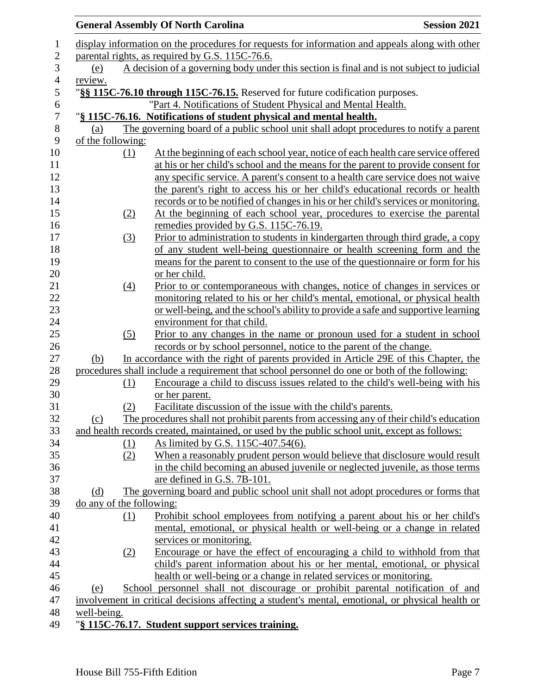|                          |     | <b>General Assembly Of North Carolina</b>                                                                                                               | <b>Session 2021</b> |
|--------------------------|-----|---------------------------------------------------------------------------------------------------------------------------------------------------------|---------------------|
|                          |     | display information on the procedures for requests for information and appeals along with other                                                         |                     |
|                          |     | parental rights, as required by G.S. 115C-76.6.                                                                                                         |                     |
| (e)                      |     | A decision of a governing body under this section is final and is not subject to judicial                                                               |                     |
| review.                  |     |                                                                                                                                                         |                     |
|                          |     | "§§ 115C-76.10 through 115C-76.15. Reserved for future codification purposes.                                                                           |                     |
|                          |     | "Part 4. Notifications of Student Physical and Mental Health.                                                                                           |                     |
|                          |     | "§ 115C-76.16. Notifications of student physical and mental health.                                                                                     |                     |
| (a)                      |     | The governing board of a public school unit shall adopt procedures to notify a parent                                                                   |                     |
| of the following:        |     |                                                                                                                                                         |                     |
|                          | (1) | At the beginning of each school year, notice of each health care service offered                                                                        |                     |
|                          |     | at his or her child's school and the means for the parent to provide consent for                                                                        |                     |
|                          |     | any specific service. A parent's consent to a health care service does not waive                                                                        |                     |
|                          |     | the parent's right to access his or her child's educational records or health                                                                           |                     |
|                          |     | records or to be notified of changes in his or her child's services or monitoring.                                                                      |                     |
|                          | (2) | At the beginning of each school year, procedures to exercise the parental                                                                               |                     |
|                          |     | remedies provided by G.S. 115C-76.19.                                                                                                                   |                     |
|                          | (3) | Prior to administration to students in kindergarten through third grade, a copy                                                                         |                     |
|                          |     | of any student well-being questionnaire or health screening form and the                                                                                |                     |
|                          |     | means for the parent to consent to the use of the questionnaire or form for his                                                                         |                     |
|                          |     | or her child.                                                                                                                                           |                     |
|                          | (4) | Prior to or contemporaneous with changes, notice of changes in services or                                                                              |                     |
|                          |     | monitoring related to his or her child's mental, emotional, or physical health                                                                          |                     |
|                          |     | or well-being, and the school's ability to provide a safe and supportive learning                                                                       |                     |
|                          |     | environment for that child.                                                                                                                             |                     |
|                          | (5) | Prior to any changes in the name or pronoun used for a student in school                                                                                |                     |
|                          |     | records or by school personnel, notice to the parent of the change.                                                                                     |                     |
| (b)                      |     | In accordance with the right of parents provided in Article 29E of this Chapter, the                                                                    |                     |
|                          |     | procedures shall include a requirement that school personnel do one or both of the following:                                                           |                     |
|                          | (1) | Encourage a child to discuss issues related to the child's well-being with his                                                                          |                     |
|                          |     | or her parent.                                                                                                                                          |                     |
|                          | (2) | Facilitate discussion of the issue with the child's parents.                                                                                            |                     |
| (c)                      |     | The procedures shall not prohibit parents from accessing any of their child's education                                                                 |                     |
|                          |     | and health records created, maintained, or used by the public school unit, except as follows:                                                           |                     |
|                          | (1) | As limited by G.S. 115C-407.54(6).                                                                                                                      |                     |
|                          | (2) | When a reasonably prudent person would believe that disclosure would result                                                                             |                     |
|                          |     | in the child becoming an abused juvenile or neglected juvenile, as those terms                                                                          |                     |
|                          |     | are defined in G.S. 7B-101.                                                                                                                             |                     |
| (d)                      |     | The governing board and public school unit shall not adopt procedures or forms that                                                                     |                     |
| do any of the following: |     |                                                                                                                                                         |                     |
|                          | (1) | Prohibit school employees from notifying a parent about his or her child's                                                                              |                     |
|                          |     | mental, emotional, or physical health or well-being or a change in related                                                                              |                     |
|                          |     | services or monitoring.                                                                                                                                 |                     |
|                          | (2) | Encourage or have the effect of encouraging a child to withhold from that<br>child's parent information about his or her mental, emotional, or physical |                     |
|                          |     | health or well-being or a change in related services or monitoring.                                                                                     |                     |
|                          |     | School personnel shall not discourage or prohibit parental notification of and                                                                          |                     |
| (e)                      |     | involvement in critical decisions affecting a student's mental, emotional, or physical health or                                                        |                     |
|                          |     |                                                                                                                                                         |                     |
| well-being.              |     |                                                                                                                                                         |                     |
|                          |     | "§ 115C-76.17. Student support services training.                                                                                                       |                     |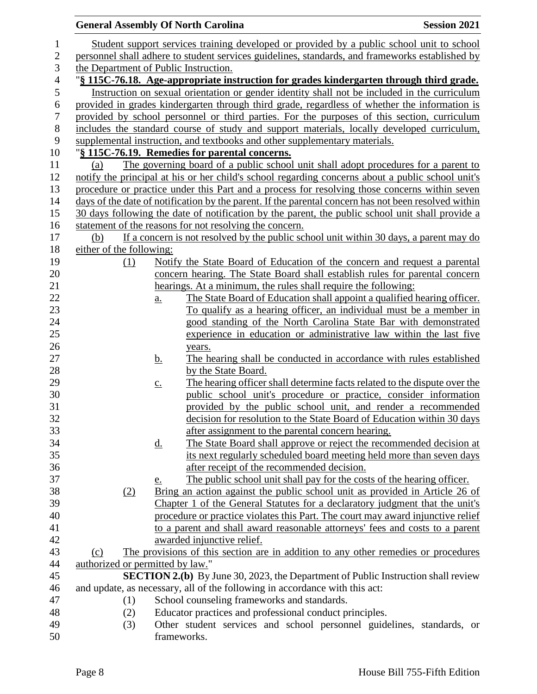|                | <b>General Assembly Of North Carolina</b> |                   |                                                                                                      | <b>Session 2021</b> |
|----------------|-------------------------------------------|-------------------|------------------------------------------------------------------------------------------------------|---------------------|
| 1              |                                           |                   | Student support services training developed or provided by a public school unit to school            |                     |
| $\overline{c}$ |                                           |                   | personnel shall adhere to student services guidelines, standards, and frameworks established by      |                     |
| 3              | the Department of Public Instruction.     |                   |                                                                                                      |                     |
| $\overline{4}$ |                                           |                   | "§ 115C-76.18. Age-appropriate instruction for grades kindergarten through third grade.              |                     |
| 5              |                                           |                   | Instruction on sexual orientation or gender identity shall not be included in the curriculum         |                     |
| 6              |                                           |                   | provided in grades kindergarten through third grade, regardless of whether the information is        |                     |
| $\tau$         |                                           |                   | provided by school personnel or third parties. For the purposes of this section, curriculum          |                     |
| 8              |                                           |                   | includes the standard course of study and support materials, locally developed curriculum,           |                     |
| 9              |                                           |                   | supplemental instruction, and textbooks and other supplementary materials.                           |                     |
| 10             |                                           |                   | "§ 115C-76.19. Remedies for parental concerns.                                                       |                     |
| 11             | (a)                                       |                   | The governing board of a public school unit shall adopt procedures for a parent to                   |                     |
| 12             |                                           |                   | notify the principal at his or her child's school regarding concerns about a public school unit's    |                     |
| 13             |                                           |                   | procedure or practice under this Part and a process for resolving those concerns within seven        |                     |
| 14             |                                           |                   | days of the date of notification by the parent. If the parental concern has not been resolved within |                     |
| 15             |                                           |                   | 30 days following the date of notification by the parent, the public school unit shall provide a     |                     |
| 16             |                                           |                   | statement of the reasons for not resolving the concern.                                              |                     |
| 17             | (b)                                       |                   | If a concern is not resolved by the public school unit within 30 days, a parent may do               |                     |
| 18             | either of the following:                  |                   |                                                                                                      |                     |
| 19             | (1)                                       |                   | Notify the State Board of Education of the concern and request a parental                            |                     |
| 20             |                                           |                   | concern hearing. The State Board shall establish rules for parental concern                          |                     |
| 21             |                                           |                   | hearings. At a minimum, the rules shall require the following:                                       |                     |
| 22             |                                           | a.                | The State Board of Education shall appoint a qualified hearing officer.                              |                     |
| 23             |                                           |                   | To qualify as a hearing officer, an individual must be a member in                                   |                     |
| 24             |                                           |                   | good standing of the North Carolina State Bar with demonstrated                                      |                     |
| 25             |                                           |                   | experience in education or administrative law within the last five                                   |                     |
| 26             |                                           |                   | years.                                                                                               |                     |
| 27             |                                           | <u>b.</u>         | The hearing shall be conducted in accordance with rules established                                  |                     |
| 28             |                                           |                   | by the State Board.                                                                                  |                     |
| 29             |                                           | $\underline{c}$ . | The hearing officer shall determine facts related to the dispute over the                            |                     |
| 30             |                                           |                   | public school unit's procedure or practice, consider information                                     |                     |
| 31             |                                           |                   | provided by the public school unit, and render a recommended                                         |                     |
| 32             |                                           |                   | decision for resolution to the State Board of Education within 30 days                               |                     |
| 33             |                                           |                   | after assignment to the parental concern hearing.                                                    |                     |
| 34             |                                           | <u>d.</u>         | The State Board shall approve or reject the recommended decision at                                  |                     |
| 35             |                                           |                   | its next regularly scheduled board meeting held more than seven days                                 |                     |
| 36             |                                           |                   | after receipt of the recommended decision.                                                           |                     |
| 37             |                                           | e.                | The public school unit shall pay for the costs of the hearing officer.                               |                     |
| 38             | (2)                                       |                   | Bring an action against the public school unit as provided in Article 26 of                          |                     |
| 39             |                                           |                   | Chapter 1 of the General Statutes for a declaratory judgment that the unit's                         |                     |
| 40             |                                           |                   | procedure or practice violates this Part. The court may award injunctive relief                      |                     |
| 41             |                                           |                   | to a parent and shall award reasonable attorneys' fees and costs to a parent                         |                     |
| 42             |                                           |                   | awarded injunctive relief.                                                                           |                     |
| 43             | (c)                                       |                   | The provisions of this section are in addition to any other remedies or procedures                   |                     |
| 44             | authorized or permitted by law."          |                   |                                                                                                      |                     |
| 45             |                                           |                   | <b>SECTION 2.(b)</b> By June 30, 2023, the Department of Public Instruction shall review             |                     |
| 46             |                                           |                   | and update, as necessary, all of the following in accordance with this act:                          |                     |
| 47             | (1)                                       |                   | School counseling frameworks and standards.                                                          |                     |
| 48             | (2)                                       |                   | Educator practices and professional conduct principles.                                              |                     |
| 49             | (3)                                       |                   | Other student services and school personnel guidelines, standards, or                                |                     |
| 50             |                                           |                   | frameworks.                                                                                          |                     |